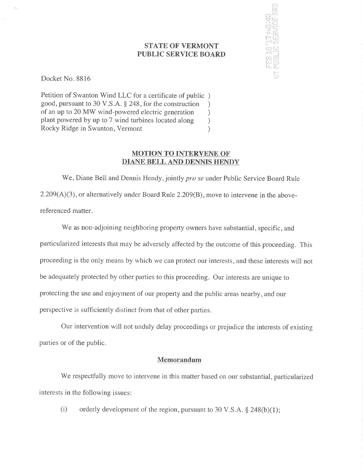## STATE OF VERMONT PUBLIC SERVICE BOARD



Docket No. 8816

Petition of Swanton Wind LLC for a certificate of public ) good, pursuant to 30 V.S.A. \$ 248, for the construction ) of an up to 20 MW wind-powered electric generation <br>plant powered by up to 7 wind turbines located along ) plant powered by up to 7 wind turbines located along (a) Rocky Ridge in Swanton, Vermont (b) Rocky Ridge in Swanton, Vermont )

## MOTION TO INTERVENE OF DIANE BELL AND DENNIS HENDY

We, Diane Bell and Dennis Hendy, jointly pro se under Public Service Board Rule 2.209(A)(3), or alternatively under Board Rule 2.209(B), move to intervene in the abovereferenced matter.

We as non-adjoining neighboring property owners have substantial, specific, and particularized interests that may be adversely affected by the outcome of this proceeding. This proceeding is the only means by which we can protect our interests, and these interests will not be adequately protected by other parties to this proceeding. Our interests are unique to protecting the use and enjoyment of our property and the public areas nearby, and our perspective is sufficiently distinct from that of other parties.

Our intervention will not unduly delay proceedings or prejudice the interests of existing parties or of the public.

## Memorandum

We respectfully move to intervene in this matter based on our substantial, particularized interests in the following issues:

(i) orderly development of the region, pursuant to 30 V.S.A.  $\S$  248(b)(1);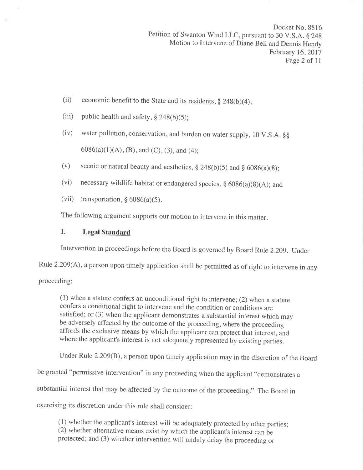- (ii) economic benefit to the State and its residents,  $\S$  248(b)(4);
- (iii) public health and safety,  $\S$  248(b)(5);
- (iv) water pollution, conservation, and burden on water supply, 10 V.S.A.  $\S$  $6086(a)(1)(A), (B),$  and  $(C), (3),$  and  $(4)$ ;
- (v) scenic or natural beauty and aesthetics,  $\S 248(b)(5)$  and  $\S 6086(a)(8)$ ;
- (vi) necessary wildlife habitat or endangered species,  $\S 6086(a)(8)(A)$ ; and
- (vii) transportation,  $\S 6086(a)(5)$ .

The following argument supports our motion to intervene in this matter.

## I. Legal Standard

Intervention in proceedings before the Board is governed by Board Rule 2.209. Under

Rule 2.209(A), a person upon timely application shall be permitted as of right to intervene in any

proceeding:

(1) when a statute confers an unconditional right to intervene; (2) when a statute confers a conditional right to intervene and the condition or conditions are satisfied; or (3) when the applicant demonstrates a substantial interest which may be adversely affected by the outcome of the proceeding, where the proceeding affords the exclusive means by which the applicant can protect that interest, and where the applicant's interest is not adequately represented by existing parties.

Under Rule 2.209(8), a person upon timely application may in the discretion of the Board

be granted "permissive intervention" in any proceeding when the applicant "demonstrates <sup>a</sup>

substantial interest that may be affected by the outcome of the proceeding." The Board in

exercising its discretion under this rule shall consider:

(1) whether the applicant's interest will be adequately protected by other parties; (2) whether alternative means exist by which the applicant's interest can be protected; and (3) whether intervention will unduly delay the proceeding or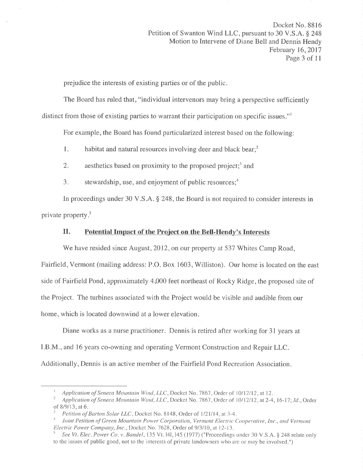prejudice the interests of existing parties or of the public.

The Board has ruled that, "individual intervenors may bring a perspective sufficiently distinct from those of existing parties to warrant their participation on specific issues."<sup>1</sup>

For example, the Board has found particularized interest based on the following:

1. habitat and natural resources involving deer and black bear;<sup>2</sup>

2. aesthetics based on proximity to the proposed project;<sup>3</sup> and

3. stewardship, use, and enjoyment of public resources; $<sup>4</sup>$ </sup>

In proceedings under 30 V.S.A. \$ 248, the Board is not required to consider interests in private property.5

# II. Potential Impact of the Project on the Bell-Hendy's Interests

We have resided since August, 2012, on our property at 537 Whites Camp Road,

Fairfield, Vermont (mailing address: P.O. Box 1603, Williston). Our home is located on the east side of Fairfield Pond, approximately 4,000 feet northeast of Rocky Ridge, the proposed site of the Project. The turbines associated with the Project would be visible and audible from our home, which is located downwind at a lower elevation.

Diane works as a nurse practitioner. Dennis is retired after working for 31 years at I.B.M., and 16 years co-owning and operating Vermont Construction and Repair LLC. Additionally, Dennis is an active member of the Fairfield Pond Recreation Association.

I Application of Seneca Mountain Wind, LLC, Docket No. 7867, Order of 10/12/12, at 12.<br><sup>2</sup> Application of Seneca Mountain Wind, LLC, Docket No. 7867, Order of 10/12/12, at 2-4, 16-17; Id., Order of 8/9/13, at 6.

<sup>&</sup>lt;sup>3</sup> Petition of Barton Solar LLC, Docket No. 8 l 48, Order of 1/21/14, at 3-4.<br><sup>4</sup> Joint Petition of Green Mountain Power Corporation, Vermont Electric Cooperative, Inc., and Vermont Electric Power Company, Inc., Docket N

See Vt. Elec. Power Co. v. Bandel, 135 Vt. 141, 145 (1977) ("Proceedings under 30 V.S.A. § 248 relate only to the issues of public good, not to the interests of private landowners who are or may be involved.")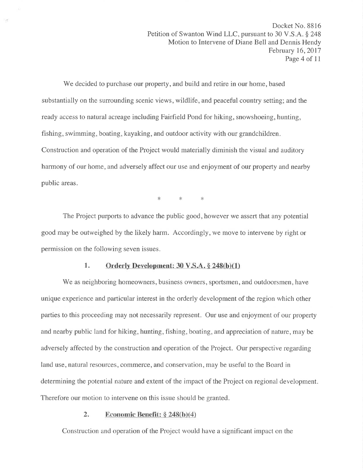'We decided to purchase our property, and build and retire in our home, based substantially on the surrounding scenic views, wildlife, and peaceful country setting; and the ready access to natural acreage including Fairfield Pond for hiking, snowshoeing, hunting, fishing, swimming, boating, kayaking, and outdoor activity with our grandchildren. Construction and operation of the Project would materially diminish the visual and auditory harmony of our home, and adversely affect our use and enjoyment of our property and nearby public areas.

 $*$   $*$   $*$ 

The Project purports to advance the public good, however we assert that any potential good may be outweighed by the likely harm. Accordingly, we move to intervene by right or permission on the following seven issues.

#### 1. Orderly Development:  $30 \text{ V.S.A.} \$   $248(b)(1)$

We as neighboring homeowners, business owners, sportsmen, and outdoorsmen, have unique experience and particular interest in the orderly development of the region which other parties to this proceeding may not necessarily represent. Our use and enjoyment of our property and nearby public land for hiking, hunting, fishing, boating, and appreciation of nature, may be adversely affected by the construction and operation of the Project. Our perspective regarding land use, natural resources, commerce, and conservation, may be useful to the Board in determining the potential nature and extent of the impact of the Project on regional development. Therefore our motion to intervene on this issue should be granted.

### 2. Economic Benefit:  $\S 248(b)(4)$

Construction and operation of the Project would have a significant impact on the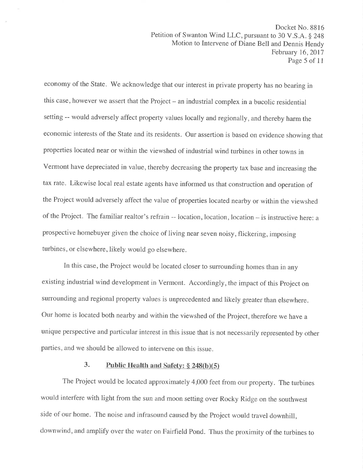economy of the State. 'We acknowledge that our interest in private property has no bearing in this case, however we assert that the Project – an industrial complex in a bucolic residential setting -- would adversely affect property values locally and regionally, and thereby harm the economic interests of the State and its residents. Our assertion is based on evidence showing that properties located near or within the viewshed of industrial wind turbines in other towns in Vermont have depreciated in value, thereby decreasing the property tax base and increasing the tax rate. Likewise local real estate agents have informed us that construction and operation of the Project would adversely affect the value of properties located nearby or within the viewshed of the Project. The familiar realtor's refrain -- location, location, location - is instructive here: a prospective homebuyer given the choice of living near seven noisy, flickering, imposing turbines, or elsewhere, likely would go elsewhere.

In this case, the Project would be located closer to surrounding homes than in any existing industrial wind development in Vermont. Accordingly, the impact of this Project on surrounding and regional property values is unprecedented and likely greater than elsewhere. Our home is located both nearby and within the viewshed of the Project, therefore we have <sup>a</sup> unique perspective and particular interest in this issue that is not necessarily represented by other parties, and we should be allowed to intervene on this issue.

## 3. Public Health and Safety:  $\S$  248(b)(5)

The Project would be located approximately 4,000 feet from our property. The turbines would interfere with light from the sun and moon setting over Rocky Ridge on the southwest side of our home. The noise and infrasound caused by the Project would travel downhill, downwind, and amplify over the water on Fairfield Pond. Thus the proximity of the turbines to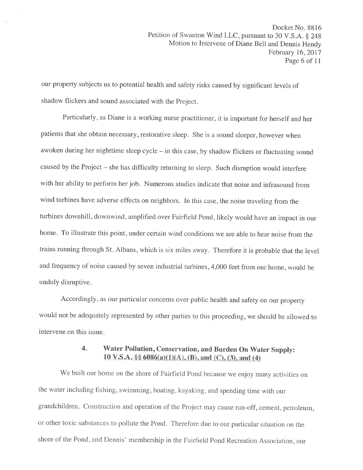our property subjects us to potential health and safety risks caused by significant levels of shadow flickers and sound associated with the Project.

Particularly, as Diane is a working nurse practitioner, it is important for herself and her patients that she obtain necessary, restorative sleep. She is a sound sleeper, however when awoken during her nighttime sleep cycle - in this case, by shadow flickers or fluctuating sound caused by the Project - she has difficulty returning to sleep. Such disruption would interfere with her ability to perform her job. Numerous studies indicate that noise and infrasound from wind turbines have adverse effects on neighbors. In this case, the noise traveling from the turbines downhill, downwind, amplified over Fairfield Pond, likely would have an impact in our home. To illustrate this point, under certain wind conditions we are able to hear noise from the trains running through St. Albans, which is six miles away. Therefore it is probable that the level and frequency of noise caused by seven industrial turbines,4,000 feet from our home, would be unduly disruptive.

Accordingly, as our particular concerns over public health and safety on our property would not be adequately represented by other parties to this proceeding, we should be allowed to intervene on this issue.

## 4. Water Pollution, Conservation, and Burden On Water Supply: 10 V.S.A. §§  $6086(a)(1)(A)$ , (B), and (C), (3), and (4)

We built our home on the shore of Fairfield Pond because we enjoy many activities on the water including fishing, swimming, boating, kayaking, and spending time with our grandchildren. Construction and operation of the Project may cause run-off, cement, petroleum, or other toxic substances to pollute the Pond. Therefore due to our particular situation on the shore of the Pond, and Dennis' membership in the Fairfield Pond Recreation Association, our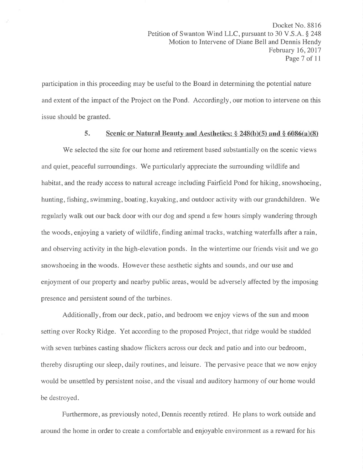participation in this proceeding may be useful to the Board in determining the potential nature and extent of the impact of the Project on the Pond. Accordingly, our motion to intervene on this issue should be granted.

#### 5. Scenic or Natural Beauty and Aesthetics:  $\S 248(b)(5)$  and  $\S 6086(a)(8)$

'We selected the site for our home and retirement based substantially on the scenic views and quiet, peaceful surroundings. We particularly appreciate the surrounding wildlife and habitat, and the ready access to natural acreage including Fairfield Pond for hiking, snowshoeing, hunting, fishing, swimming, boating, kayaking, and outdoor activity with our grandchildren. 'We regularly walk out our back door with our dog and spend a few hours simply wandering through the woods, enjoying a variety of wildlife, finding animal tracks, watching waterfalls after a rain, and observing activity in the high-elevation ponds. In the wintertime our friends visit and we go snowshoeing in the woods. However these aesthetic sights and sounds, and our use and enjoyment of our property and nearby public areas, would be adversely affected by the imposing presence and persistent sound of the turbines.

Additionally, from our deck, patio, and bedroom we enjoy views of the sun and moon setting over Rocky Ridge. Yet according to the proposed Project, that ridge would be studded with seven turbines casting shadow flickers across our deck and patio and into our bedroom, thereby disrupting our sleep, daily routines, and leisure. The pervasive peace that we now enjoy would be unsettled by persistent noise, and the visual and auditory harmony of our home would be destroyed.

Furthermore, as previously noted, Dennis recently retired. He plans to work outside and around the home in order to create a comfortable and enjoyable environment as a reward for his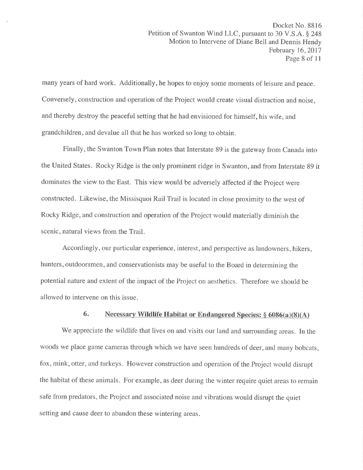many years of hard work. Additionally, he hopes to enjoy some moments of leisure and peace. Conversely, construction and operation of the Project would create visual distraction and noise, and thereby destroy the peaceful setting that he had envisioned for himself, his wife, and grandchildren, and devalue all that he has worked so long to obtain.

Finally, the Swanton Town Plan notes that Interstate 89 is the gateway from Canada into the United States. Rocky Ridge is the only prominent ridge in Swanton, and from Interstate 89 it dominates the view to the East. This view would be adversely affected if the Project were constructed. Likewise, the Missisquoi Rail Trail is located in close proximity to the west of Rocky Ridge, and construction and operation of the Project would materially diminish the scenic, natural views from the Trail.

Accordingly, our particular experience, interest, and perspective as landowners, hikers, hunters, outdoorsmen, and conservationists may be useful to the Board in determining the potential nature and extent of the impact of the Project on aesthetics. Therefore we should be allowed to intervene on this issue.

## 6. Necessary Wildlife Habitat or Endangered Species:  $\S$  6086(a)(8)(A)

We appreciate the wildlife that lives on and visits our land and surrounding areas. In the woods we place game cameras through which we have seen hundreds of deer, and many bobcats, fox, mink, otter, and turkeys. However construction and operation of the Project would disrupt the habitat of these animals. For example, as deer during the winter require quiet areas to remain safe from predators, the Project and associated noise and vibrations would disrupt the quiet setting and cause deer to abandon these wintering areas.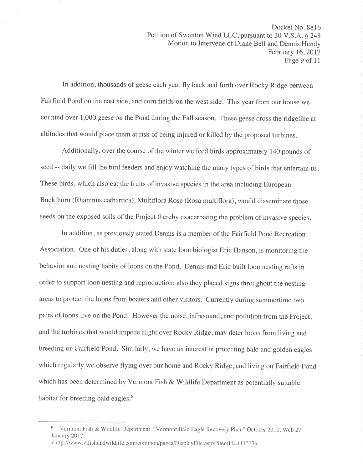In addition, thousands of geese each year fly back and forth over Rocky Ridge between Fairfield Pond on the east side, and corn fields on the west side. This year from our house we counted over 1,000 geese on the Pond during the Fall season. These geese cross the ridgeline at altitudes that would place them at risk of being injured or killed by the proposed turbines.

Additionally, over the course of the winter we feed birds approximately 140 pounds of seed -- daily we fill the bird feeders and enjoy watching the many types of birds that entertain us. These birds, which also eat the fruits of invasive species in the area including European Buckthorn (Rhamnus cathartica), Multiflora Rose (Rosa multiflora), would disseminate those seeds on the exposed soils of the Project thereby exacerbating the problem of invasive species.

In addition, as previously stated Dennis is a member of the Fairfield Pond Recreation Association. One of his duties, along with state loon biologist Eric Hanson, is monitoring the behavior and nesting habits of loons on the Pond. Dennis and Eric built loon nesting rafts in order to support loon nesting and reproduction; also they placed signs throughout the nesting areas to protect the loons from boaters and other visitors. Currently during summertime two pairs of loons live on the Pond. However the noise, infrasound, and pollution from the Project, and the turbines that would impede flight over Rocky Ridge, may deter loons from living and breeding on Fairfield Pond. Similarly, we have an interest in protecting bald and golden eagles which regularly we observe flying over our home and Rocky Ridge, and living on Fairfield Pond which has been determined by Vermont Fish & Wildlife Department as potentially suitable habitat for breeding bald eagles.<sup>6</sup>

<sup>&</sup>lt;sup>6</sup> Vermont Fish & Wildlife Department. "Vermont Bald Eagle Recovery Plan." October 2010. Web 27 January 2017. <http://www.vtfishandwildlife.com/common/pages/DisplayFile.aspx?itemId=111337>.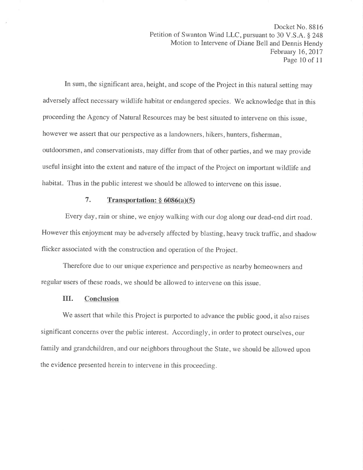In sum, the significant area, height, and scope of the Project in this natural setting may adversely affect necessary wildlife habitat or endangered species. We acknowledge that in this proceeding the Agency of Natural Resources may be best situated to intervene on this issue, however we assert that our perspective as a landowners, hikers, hunters, fisherman, outdoorsmen, and conservationists, may differ from that of other parties, and we may provide useful insight into the extent and nature of the impact of the Project on important wildlife and habitat. Thus in the public interest we should be allowed to intervene on this issue.

## 7. Transportation:  $\S$  6086(a)(5)

Every day, rain or shine, we enjoy walking with our dog along our dead-end dirt road. However this enjoyment may be adversely affected by blasting, heavy truck traffic, and shadow flicker associated with the construction and operation of the Project.

Therefore due to our unique experience and perspective as nearby homeowners and regular users of these roads, we should be allowed to intervene on this issue.

## III. Conclusion

We assert that while this Project is purported to advance the public good, it also raises significant concerns over the public interest. Accordingly, in order to protect ourselves, our family and grandchildren, and our neighbors throughout the State, we should be allowed upon the evidence presented herein to intervene in this proceeding.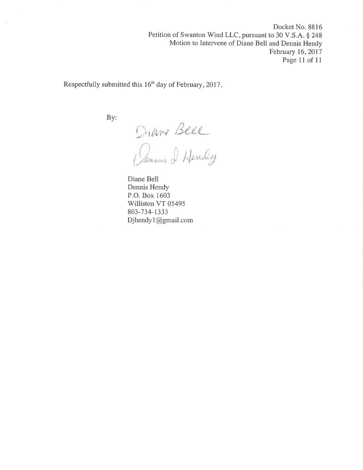Docket No. 8816 Petition of Swanton Wind LLC, pursuant to 30 V.S.A. \$ 248 Motion to Intervene of Diane Bell and Dennis Hendy February 16,2017 Page l1 of 1l

Respectfully submitted this 16'h day of February,2017

By:

Diane Beel

I Handy

Diane Bell Dennis Hendy P.O. Box 1603 Williston VT 05495 803-734-1333 Djhendyl@gmail.com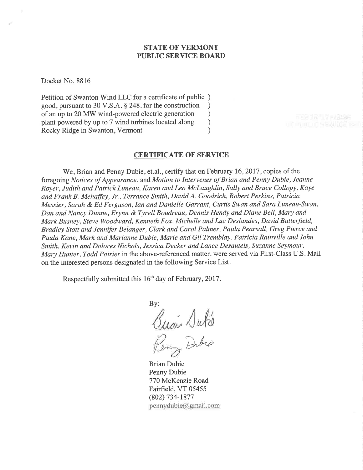### STATE OF VERMONT PUBLIC SERVICE BOARD

Docket No. 8816

Petition of Swanton Wind LLC for a certificate of public ) good, pursuant to 30 V.S.A. \$ 248, for the construction ) of an up to 20 MW wind-powered electric generation <br>plant powered by up to 7 wind turbines located along  $\qquad$ plant powered by up to 7 wind turbines located along ) Rocky Ridge in Swanton, Vermont (1988)

#### CERTIFICATE OF SERVICE

We, Brian and Penny Dubie, et.al., certify that on February 16, 2017, copies of the foregoing Notices of Appearance, and Motion to Intervenes of Brian and Penny Dubie, Jeanne Royer, Judith and Patrick Luneau, Karen and Leo McLaughlin, Sally and Bruce Collopy, Kaye and Frank B. Mehaffey, Jr., Terrance Smith, David A. Goodrich, Robert Perkins, Patricia Messier, Sarah & Ed Ferguson, Ian and Danielle Garrant, Curtis Swan and Sara Luneau-Swan, Dan and Nancy Dunne, Erynn & Tyrell Boudreau, Dennis Hendy and Diane Bell, Mary and Mark Bushey, Steve Woodward, Kenneth Fox, Michelle and Luc Deslandes, David Butterfield, Bradley Stott and Jennifer Belanger, Clark and Carol Palmer, Paula Pearsall, Greg Pierce and Paula Kane, Mark and Marianne Dubie, Marie and Gil Tremblay, Patricia Rainville and John Smith, Kevin and Dolores Nichols, Jessica Decker and Lance Desautels, Suzanne Seymour, Mary Hunter, Todd Poirier in the above-referenced matter, were served via First-Class U.S. Mail on the interested persons designated in the following Service List.

Respectfully submitted this 16<sup>th</sup> day of February, 2017.

By: Buai Duko Dubio

Brian Dubie Penny Dubie 770 McKenzie Road Fairfield, VT 05455 (802) 734-1877  $pennydubic@gmail.com$